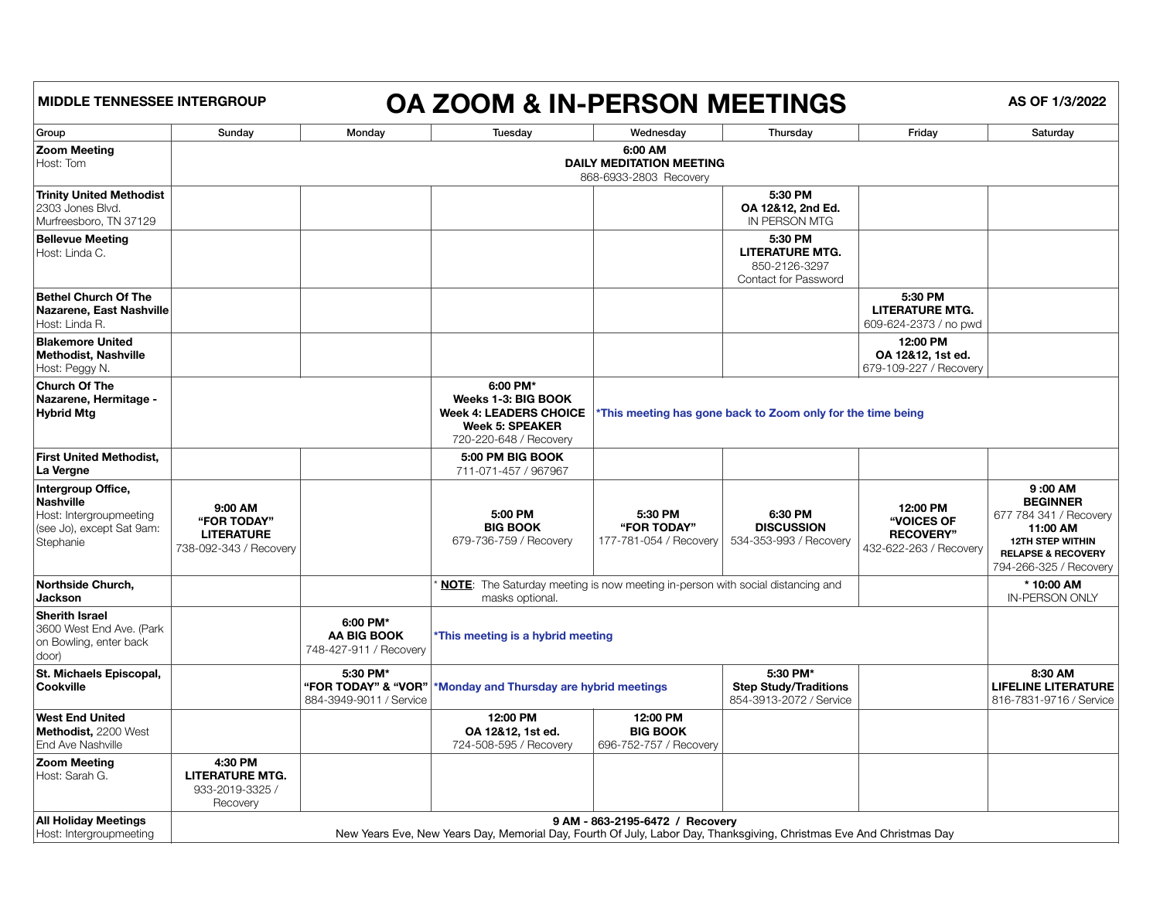| <b>MIDDLE TENNESSEE INTERGROUP</b>                                                                   |                                                                                                                                                         |                                                   | OA ZOOM & IN-PERSON MEETINGS                                                                                         |                                                             |                                                                                   |                                                                      | AS OF 1/3/2022                                                                                                                                         |  |  |
|------------------------------------------------------------------------------------------------------|---------------------------------------------------------------------------------------------------------------------------------------------------------|---------------------------------------------------|----------------------------------------------------------------------------------------------------------------------|-------------------------------------------------------------|-----------------------------------------------------------------------------------|----------------------------------------------------------------------|--------------------------------------------------------------------------------------------------------------------------------------------------------|--|--|
| Group                                                                                                | Sunday                                                                                                                                                  | Monday                                            | Tuesday                                                                                                              | Wednesday                                                   | Thursday                                                                          | Friday                                                               | Saturday                                                                                                                                               |  |  |
| <b>Zoom Meeting</b><br>Host: Tom                                                                     | 6:00 AM<br><b>DAILY MEDITATION MEETING</b><br>868-6933-2803 Recovery                                                                                    |                                                   |                                                                                                                      |                                                             |                                                                                   |                                                                      |                                                                                                                                                        |  |  |
| <b>Trinity United Methodist</b><br>2303 Jones Blvd.<br>Murfreesboro, TN 37129                        |                                                                                                                                                         |                                                   |                                                                                                                      |                                                             | 5:30 PM<br>OA 12&12, 2nd Ed.<br>IN PERSON MTG                                     |                                                                      |                                                                                                                                                        |  |  |
| <b>Bellevue Meeting</b><br>Host: Linda C.                                                            |                                                                                                                                                         |                                                   |                                                                                                                      |                                                             | 5:30 PM<br><b>LITERATURE MTG.</b><br>850-2126-3297<br><b>Contact for Password</b> |                                                                      |                                                                                                                                                        |  |  |
| <b>Bethel Church Of The</b><br>Nazarene, East Nashville<br>Host: Linda R.                            |                                                                                                                                                         |                                                   |                                                                                                                      |                                                             |                                                                                   | 5:30 PM<br><b>LITERATURE MTG.</b><br>609-624-2373 / no pwd           |                                                                                                                                                        |  |  |
| <b>Blakemore United</b><br>Methodist, Nashville<br>Host: Peggy N.                                    |                                                                                                                                                         |                                                   |                                                                                                                      |                                                             |                                                                                   | 12:00 PM<br>OA 12&12, 1st ed.<br>679-109-227 / Recovery              |                                                                                                                                                        |  |  |
| <b>Church Of The</b><br>Nazarene, Hermitage -<br><b>Hybrid Mtg</b>                                   |                                                                                                                                                         |                                                   | 6:00 PM*<br>Weeks 1-3: BIG BOOK<br><b>Week 4: LEADERS CHOICE</b><br><b>Week 5: SPEAKER</b><br>720-220-648 / Recovery | *This meeting has gone back to Zoom only for the time being |                                                                                   |                                                                      |                                                                                                                                                        |  |  |
| <b>First United Methodist,</b><br>∣La Vergne                                                         |                                                                                                                                                         |                                                   | 5:00 PM BIG BOOK<br>711-071-457 / 967967                                                                             |                                                             |                                                                                   |                                                                      |                                                                                                                                                        |  |  |
| Intergroup Office,<br>Nashville<br>Host: Intergroupmeeting<br>(see Jo), except Sat 9am:<br>Stephanie | 9:00 AM<br>"FOR TODAY"<br><b>LITERATURE</b><br>738-092-343 / Recovery                                                                                   |                                                   | 5:00 PM<br><b>BIG BOOK</b><br>679-736-759 / Recovery                                                                 | 5:30 PM<br>"FOR TODAY"                                      | 6:30 PM<br><b>DISCUSSION</b><br>  177-781-054 / Recovery   534-353-993 / Recovery | 12:00 PM<br>"VOICES OF<br><b>RECOVERY"</b><br>432-622-263 / Recovery | 9:00 AM<br><b>BEGINNER</b><br>677 784 341 / Recovery<br>11:00 AM<br><b>12TH STEP WITHIN</b><br><b>RELAPSE &amp; RECOVERY</b><br>794-266-325 / Recovery |  |  |
| <b>Northside Church,</b><br><b>Jackson</b>                                                           |                                                                                                                                                         |                                                   | <b>NOTE:</b> The Saturday meeting is now meeting in-person with social distancing and<br>masks optional.             |                                                             |                                                                                   |                                                                      | * 10:00 AM<br><b>IN-PERSON ONLY</b>                                                                                                                    |  |  |
| <b>Sherith Israel</b><br>3600 West End Ave. (Park<br>on Bowling, enter back<br>$ door\rangle$        |                                                                                                                                                         | 6:00 PM*<br>AA BIG BOOK<br>748-427-911 / Recovery | *This meeting is a hybrid meeting                                                                                    |                                                             |                                                                                   |                                                                      |                                                                                                                                                        |  |  |
| St. Michaels Episcopal,<br><b>Cookville</b>                                                          |                                                                                                                                                         | 5:30 PM*<br>884-3949-9011 / Service               | 5:30 PM*<br>"FOR TODAY" & "VOR"   * Monday and Thursday are hybrid meetings                                          |                                                             | <b>Step Study/Traditions</b><br>854-3913-2072 / Service                           |                                                                      | 8:30 AM<br><b>LIFELINE LITERATURE</b><br>816-7831-9716 / Service                                                                                       |  |  |
| <b>West End United</b><br>Methodist, 2200 West<br><b>End Ave Nashville</b>                           |                                                                                                                                                         |                                                   | 12:00 PM<br>OA 12&12, 1st ed.<br>724-508-595 / Recovery                                                              | 12:00 PM<br><b>BIG BOOK</b><br>696-752-757 / Recovery       |                                                                                   |                                                                      |                                                                                                                                                        |  |  |
| <b>Zoom Meeting</b><br>Host: Sarah G.                                                                | 4:30 PM<br><b>LITERATURE MTG.</b><br>933-2019-3325 /<br>Recovery                                                                                        |                                                   |                                                                                                                      |                                                             |                                                                                   |                                                                      |                                                                                                                                                        |  |  |
| <b>All Holiday Meetings</b><br>Host: Intergroupmeeting                                               | 9 AM - 863-2195-6472 / Recovery<br>New Years Eve, New Years Day, Memorial Day, Fourth Of July, Labor Day, Thanksgiving, Christmas Eve And Christmas Day |                                                   |                                                                                                                      |                                                             |                                                                                   |                                                                      |                                                                                                                                                        |  |  |